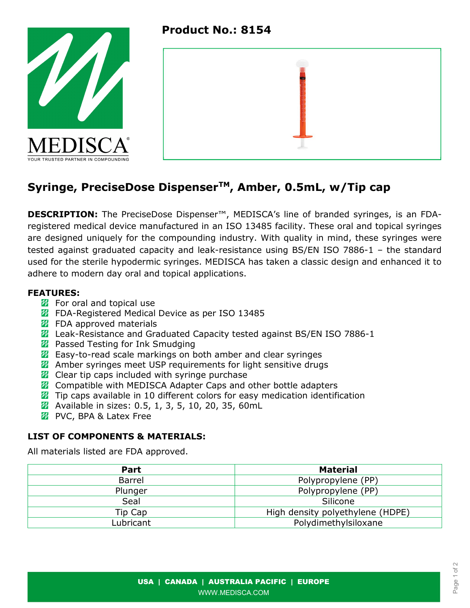Product No.: 8154





# Syringe, PreciseDose Dispenser<sup>™</sup>, Amber, 0.5mL, w/Tip cap

**DESCRIPTION:** The PreciseDose Dispenser<sup>™</sup>, MEDISCA's line of branded syringes, is an FDAregistered medical device manufactured in an ISO 13485 facility. These oral and topical syringes are designed uniquely for the compounding industry. With quality in mind, these syringes were tested against graduated capacity and leak-resistance using BS/EN ISO 7886-1 – the standard used for the sterile hypodermic syringes. MEDISCA has taken a classic design and enhanced it to adhere to modern day oral and topical applications.

### FEATURES:

- $\mathbb Z$  For oral and topical use
- **72** FDA-Registered Medical Device as per ISO 13485
- $\mathbb Z$  FDA approved materials
- **Z** Leak-Resistance and Graduated Capacity tested against BS/EN ISO 7886-1
- **2** Passed Testing for Ink Smudging
- **Z** Easy-to-read scale markings on both amber and clear syringes
- **Z** Amber syringes meet USP requirements for light sensitive drugs
- **Z** Clear tip caps included with syringe purchase
- **Z** Compatible with MEDISCA Adapter Caps and other bottle adapters
- $\mathbb Z$  Tip caps available in 10 different colors for easy medication identification
- **2** Available in sizes: 0.5, 1, 3, 5, 10, 20, 35, 60mL
- *M* PVC, BPA & Latex Free

## LIST OF COMPONENTS & MATERIALS:

All materials listed are FDA approved.

| Part      | <b>Material</b>                  |  |  |
|-----------|----------------------------------|--|--|
| Barrel    | Polypropylene (PP)               |  |  |
| Plunger   | Polypropylene (PP)               |  |  |
| Seal      | Silicone                         |  |  |
| Tip Cap   | High density polyethylene (HDPE) |  |  |
| Lubricant | Polydimethylsiloxane             |  |  |